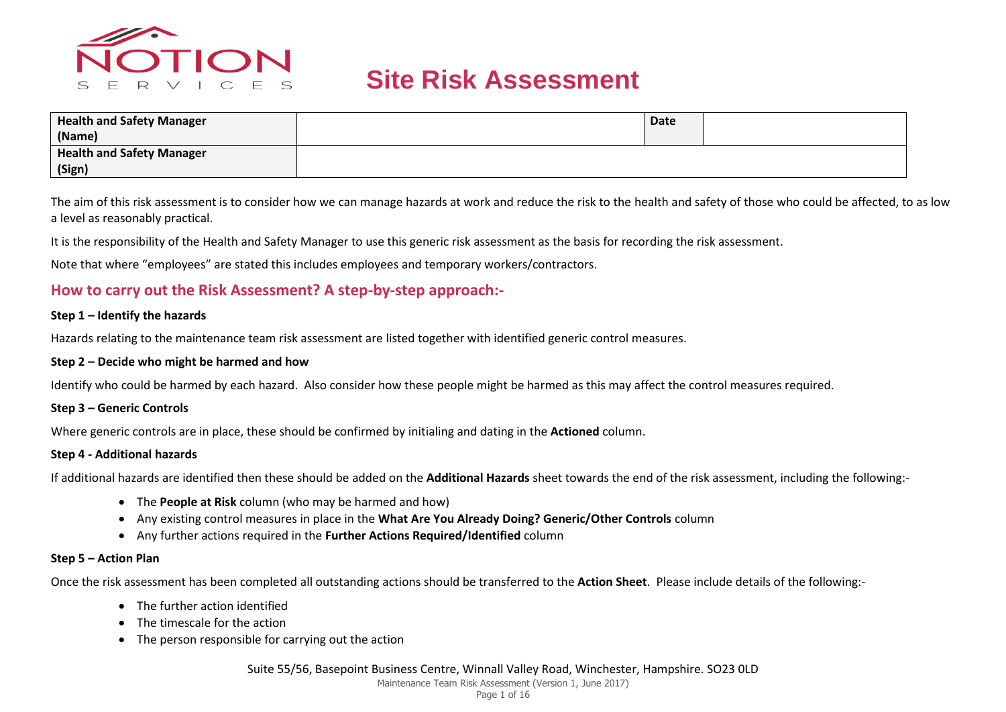

| <b>Health and Safety Manager</b><br>(Name) | Date |  |
|--------------------------------------------|------|--|
| <b>Health and Safety Manager</b><br>(Sign) |      |  |

The aim of this risk assessment is to consider how we can manage hazards at work and reduce the risk to the health and safety of those who could be affected, to as low a level as reasonably practical.

It is the responsibility of the Health and Safety Manager to use this generic risk assessment as the basis for recording the risk assessment.

Note that where "employees" are stated this includes employees and temporary workers/contractors.

#### **How to carry out the Risk Assessment? A step-by-step approach:-**

#### **Step 1 – Identify the hazards**

Hazards relating to the maintenance team risk assessment are listed together with identified generic control measures.

#### **Step 2 – Decide who might be harmed and how**

Identify who could be harmed by each hazard. Also consider how these people might be harmed as this may affect the control measures required.

#### **Step 3 – Generic Controls**

Where generic controls are in place, these should be confirmed by initialing and dating in the **Actioned** column.

#### **Step 4 - Additional hazards**

If additional hazards are identified then these should be added on the **Additional Hazards** sheet towards the end of the risk assessment, including the following:-

- The **People at Risk** column (who may be harmed and how)
- Any existing control measures in place in the **What Are You Already Doing? Generic/Other Controls** column
- Any further actions required in the **Further Actions Required/Identified** column

#### **Step 5 – Action Plan**

Once the risk assessment has been completed all outstanding actions should be transferred to the **Action Sheet**. Please include details of the following:-

- The further action identified
- The timescale for the action
- The person responsible for carrying out the action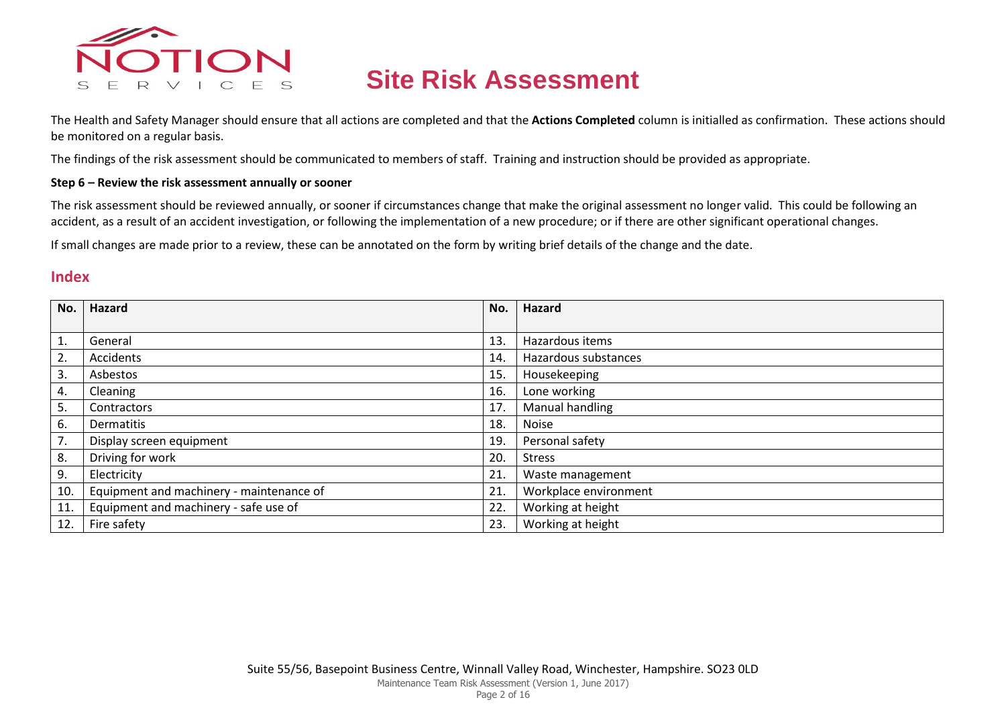

The Health and Safety Manager should ensure that all actions are completed and that the **Actions Completed** column is initialled as confirmation. These actions should be monitored on a regular basis.

The findings of the risk assessment should be communicated to members of staff. Training and instruction should be provided as appropriate.

#### **Step 6 – Review the risk assessment annually or sooner**

The risk assessment should be reviewed annually, or sooner if circumstances change that make the original assessment no longer valid. This could be following an accident, as a result of an accident investigation, or following the implementation of a new procedure; or if there are other significant operational changes.

If small changes are made prior to a review, these can be annotated on the form by writing brief details of the change and the date.

#### **Index**

| No. | Hazard                                   | No.             | Hazard                |
|-----|------------------------------------------|-----------------|-----------------------|
|     |                                          |                 |                       |
| 1.  | General                                  | 13              | Hazardous items       |
| 2.  | Accidents                                | 14.             | Hazardous substances  |
| 3.  | Asbestos                                 | 15 <sub>1</sub> | Housekeeping          |
| 4.  | Cleaning                                 | 16.             | Lone working          |
| 5.  | Contractors                              | 17.             | Manual handling       |
| 6.  | <b>Dermatitis</b>                        | 18.             | <b>Noise</b>          |
| 7.  | Display screen equipment                 | 19.             | Personal safety       |
| 8.  | Driving for work                         | 20.             | <b>Stress</b>         |
| 9.  | Electricity                              | 21.             | Waste management      |
| 10. | Equipment and machinery - maintenance of | 21.             | Workplace environment |
| 11. | Equipment and machinery - safe use of    | 22.             | Working at height     |
| 12. | Fire safety                              | 23.             | Working at height     |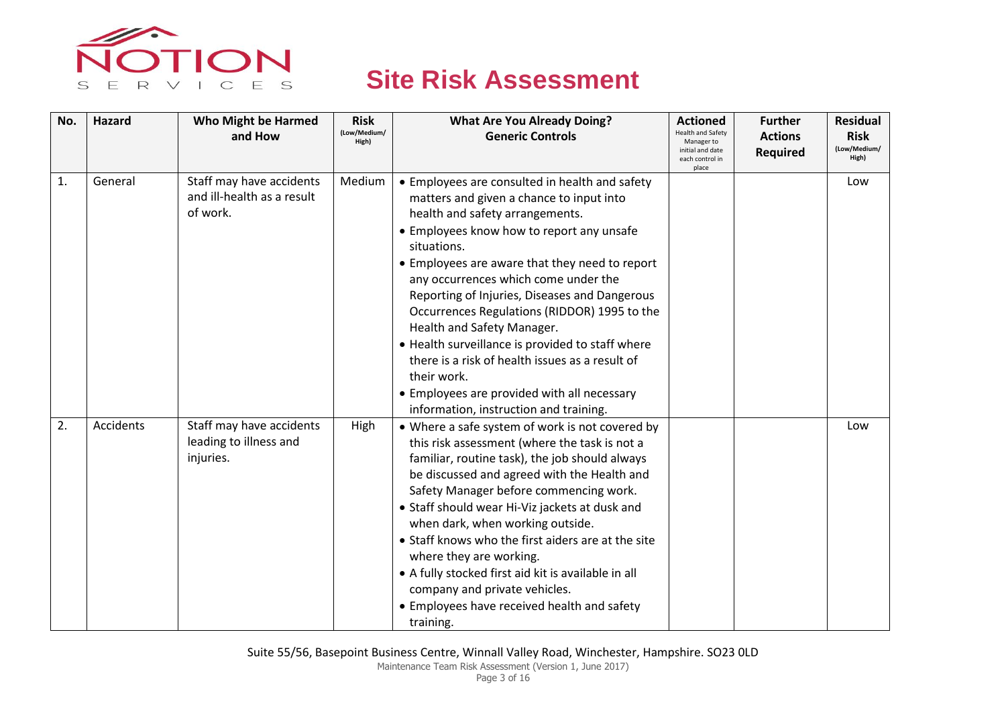

| No. | Hazard    | <b>Who Might be Harmed</b><br>and How                              | <b>Risk</b><br>(Low/Medium/<br>High) | <b>What Are You Already Doing?</b><br><b>Generic Controls</b>                                                                                                                                                                                                                                                                                                                                                                                                                                                                                                                                                                     | <b>Actioned</b><br>Health and Safety<br>Manager to<br>initial and date<br>each control in | <b>Further</b><br><b>Actions</b><br><b>Required</b> | <b>Residual</b><br><b>Risk</b><br>(Low/Medium/<br>High) |
|-----|-----------|--------------------------------------------------------------------|--------------------------------------|-----------------------------------------------------------------------------------------------------------------------------------------------------------------------------------------------------------------------------------------------------------------------------------------------------------------------------------------------------------------------------------------------------------------------------------------------------------------------------------------------------------------------------------------------------------------------------------------------------------------------------------|-------------------------------------------------------------------------------------------|-----------------------------------------------------|---------------------------------------------------------|
| 1.  | General   | Staff may have accidents<br>and ill-health as a result<br>of work. | Medium                               | • Employees are consulted in health and safety<br>matters and given a chance to input into<br>health and safety arrangements.<br>• Employees know how to report any unsafe<br>situations.<br>• Employees are aware that they need to report<br>any occurrences which come under the<br>Reporting of Injuries, Diseases and Dangerous<br>Occurrences Regulations (RIDDOR) 1995 to the<br>Health and Safety Manager.<br>• Health surveillance is provided to staff where<br>there is a risk of health issues as a result of<br>their work.<br>• Employees are provided with all necessary<br>information, instruction and training. | place                                                                                     |                                                     | Low                                                     |
| 2.  | Accidents | Staff may have accidents<br>leading to illness and<br>injuries.    | High                                 | • Where a safe system of work is not covered by<br>this risk assessment (where the task is not a<br>familiar, routine task), the job should always<br>be discussed and agreed with the Health and<br>Safety Manager before commencing work.<br>• Staff should wear Hi-Viz jackets at dusk and<br>when dark, when working outside.<br>• Staff knows who the first aiders are at the site<br>where they are working.<br>• A fully stocked first aid kit is available in all<br>company and private vehicles.<br>• Employees have received health and safety<br>training.                                                            |                                                                                           |                                                     | Low                                                     |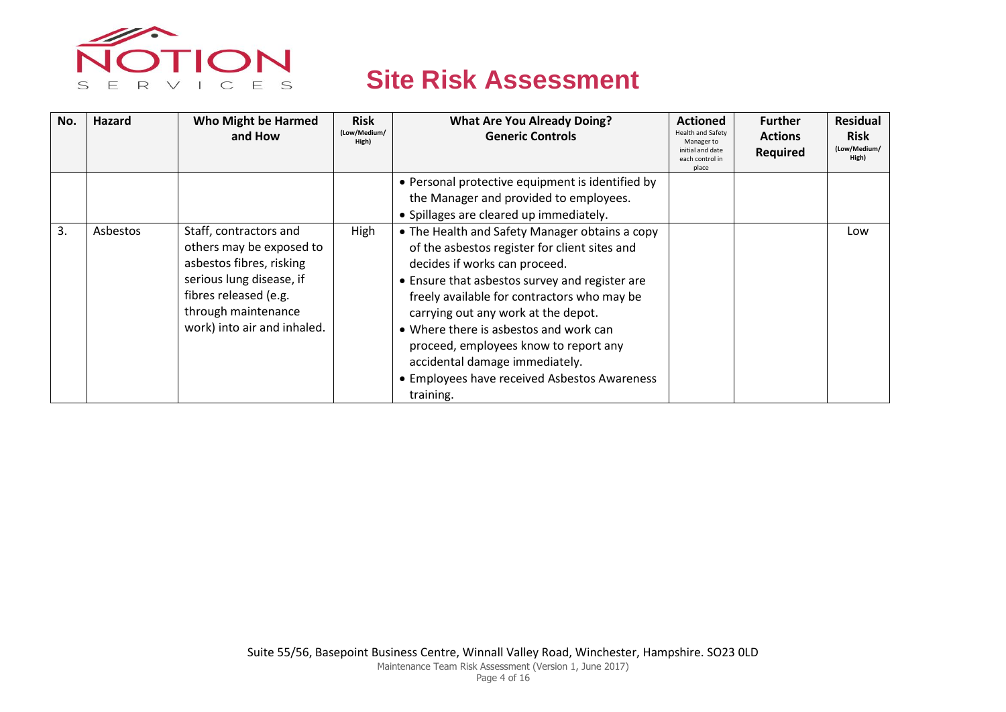

| No. | <b>Hazard</b> | Who Might be Harmed<br>and How                                                                                                                                                            | <b>Risk</b><br>(Low/Medium/<br>High) | <b>What Are You Already Doing?</b><br><b>Generic Controls</b>                                                                                                                                                                                                                                                                                                                                                                                              | <b>Actioned</b><br><b>Health and Safety</b><br>Manager to<br>initial and date<br>each control in<br>place | <b>Further</b><br><b>Actions</b><br><b>Required</b> | <b>Residual</b><br><b>Risk</b><br>(Low/Medium/<br>High) |
|-----|---------------|-------------------------------------------------------------------------------------------------------------------------------------------------------------------------------------------|--------------------------------------|------------------------------------------------------------------------------------------------------------------------------------------------------------------------------------------------------------------------------------------------------------------------------------------------------------------------------------------------------------------------------------------------------------------------------------------------------------|-----------------------------------------------------------------------------------------------------------|-----------------------------------------------------|---------------------------------------------------------|
|     |               |                                                                                                                                                                                           |                                      | • Personal protective equipment is identified by<br>the Manager and provided to employees.<br>• Spillages are cleared up immediately.                                                                                                                                                                                                                                                                                                                      |                                                                                                           |                                                     |                                                         |
| 3.  | Asbestos      | Staff, contractors and<br>others may be exposed to<br>asbestos fibres, risking<br>serious lung disease, if<br>fibres released (e.g.<br>through maintenance<br>work) into air and inhaled. | High                                 | • The Health and Safety Manager obtains a copy<br>of the asbestos register for client sites and<br>decides if works can proceed.<br>• Ensure that asbestos survey and register are<br>freely available for contractors who may be<br>carrying out any work at the depot.<br>• Where there is asbestos and work can<br>proceed, employees know to report any<br>accidental damage immediately.<br>• Employees have received Asbestos Awareness<br>training. |                                                                                                           |                                                     | Low                                                     |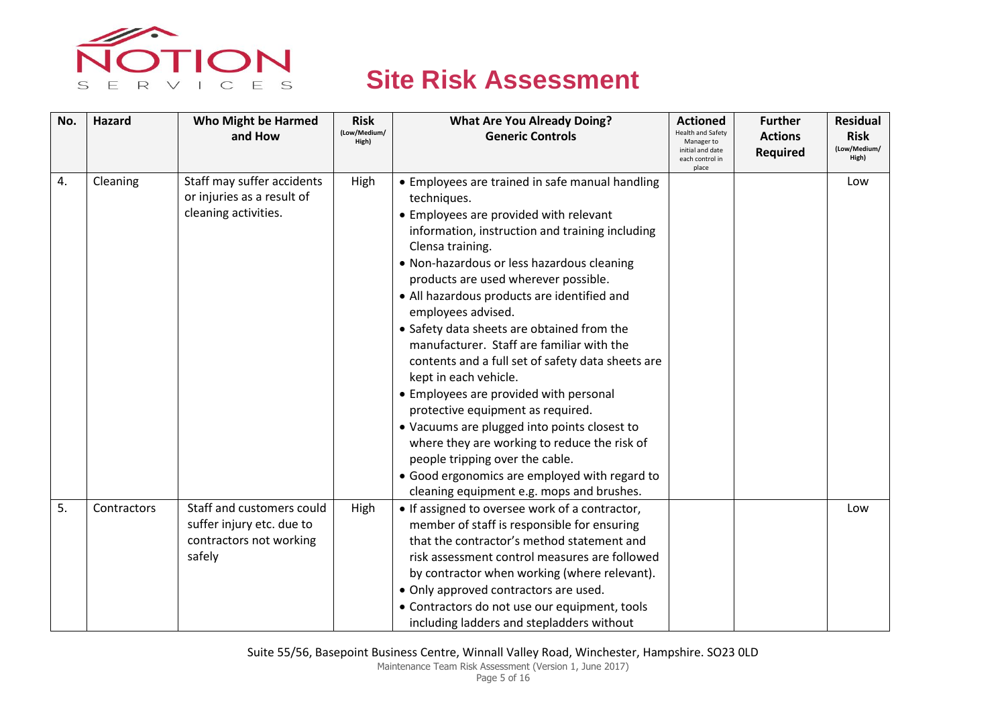

| No. | <b>Hazard</b> | <b>Who Might be Harmed</b> | <b>Risk</b>           | <b>What Are You Already Doing?</b>                                                            | <b>Actioned</b>                                                                 | <b>Further</b>                    | <b>Residual</b>                      |
|-----|---------------|----------------------------|-----------------------|-----------------------------------------------------------------------------------------------|---------------------------------------------------------------------------------|-----------------------------------|--------------------------------------|
|     |               | and How                    | (Low/Medium/<br>High) | <b>Generic Controls</b>                                                                       | Health and Safety<br>Manager to<br>initial and date<br>each control in<br>place | <b>Actions</b><br><b>Required</b> | <b>Risk</b><br>(Low/Medium/<br>High) |
| 4.  | Cleaning      | Staff may suffer accidents | High                  | • Employees are trained in safe manual handling                                               |                                                                                 |                                   | Low                                  |
|     |               | or injuries as a result of |                       | techniques.                                                                                   |                                                                                 |                                   |                                      |
|     |               | cleaning activities.       |                       | • Employees are provided with relevant                                                        |                                                                                 |                                   |                                      |
|     |               |                            |                       | information, instruction and training including                                               |                                                                                 |                                   |                                      |
|     |               |                            |                       | Clensa training.                                                                              |                                                                                 |                                   |                                      |
|     |               |                            |                       | • Non-hazardous or less hazardous cleaning                                                    |                                                                                 |                                   |                                      |
|     |               |                            |                       | products are used wherever possible.                                                          |                                                                                 |                                   |                                      |
|     |               |                            |                       | • All hazardous products are identified and<br>employees advised.                             |                                                                                 |                                   |                                      |
|     |               |                            |                       | • Safety data sheets are obtained from the                                                    |                                                                                 |                                   |                                      |
|     |               |                            |                       | manufacturer. Staff are familiar with the                                                     |                                                                                 |                                   |                                      |
|     |               |                            |                       | contents and a full set of safety data sheets are                                             |                                                                                 |                                   |                                      |
|     |               |                            |                       | kept in each vehicle.                                                                         |                                                                                 |                                   |                                      |
|     |               |                            |                       | • Employees are provided with personal                                                        |                                                                                 |                                   |                                      |
|     |               |                            |                       | protective equipment as required.                                                             |                                                                                 |                                   |                                      |
|     |               |                            |                       | • Vacuums are plugged into points closest to                                                  |                                                                                 |                                   |                                      |
|     |               |                            |                       | where they are working to reduce the risk of                                                  |                                                                                 |                                   |                                      |
|     |               |                            |                       | people tripping over the cable.                                                               |                                                                                 |                                   |                                      |
|     |               |                            |                       | • Good ergonomics are employed with regard to                                                 |                                                                                 |                                   |                                      |
| 5.  | Contractors   | Staff and customers could  |                       | cleaning equipment e.g. mops and brushes.                                                     |                                                                                 |                                   | Low                                  |
|     |               | suffer injury etc. due to  | High                  | • If assigned to oversee work of a contractor,<br>member of staff is responsible for ensuring |                                                                                 |                                   |                                      |
|     |               | contractors not working    |                       | that the contractor's method statement and                                                    |                                                                                 |                                   |                                      |
|     |               | safely                     |                       | risk assessment control measures are followed                                                 |                                                                                 |                                   |                                      |
|     |               |                            |                       | by contractor when working (where relevant).                                                  |                                                                                 |                                   |                                      |
|     |               |                            |                       | • Only approved contractors are used.                                                         |                                                                                 |                                   |                                      |
|     |               |                            |                       | • Contractors do not use our equipment, tools                                                 |                                                                                 |                                   |                                      |
|     |               |                            |                       | including ladders and stepladders without                                                     |                                                                                 |                                   |                                      |

Page 5 of 16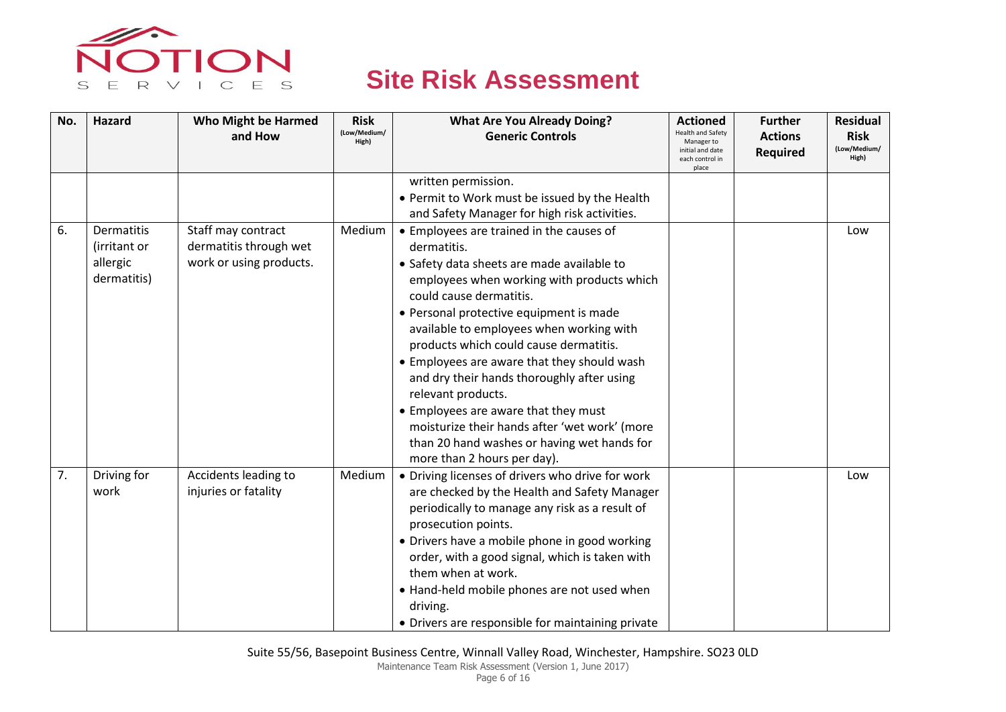

| No. | <b>Hazard</b>                                         | <b>Who Might be Harmed</b><br>and How                                   | <b>Risk</b><br>(Low/Medium/<br>High) | <b>What Are You Already Doing?</b><br><b>Generic Controls</b>                                                                                                                                                                                                                                                                                                                                                                                                                                                                                                                                             | <b>Actioned</b><br><b>Health and Safety</b><br>Manager to<br>initial and date<br>each control in | <b>Further</b><br><b>Actions</b><br><b>Required</b> | <b>Residual</b><br><b>Risk</b><br>(Low/Medium/<br>High) |
|-----|-------------------------------------------------------|-------------------------------------------------------------------------|--------------------------------------|-----------------------------------------------------------------------------------------------------------------------------------------------------------------------------------------------------------------------------------------------------------------------------------------------------------------------------------------------------------------------------------------------------------------------------------------------------------------------------------------------------------------------------------------------------------------------------------------------------------|--------------------------------------------------------------------------------------------------|-----------------------------------------------------|---------------------------------------------------------|
|     |                                                       |                                                                         |                                      | written permission.<br>• Permit to Work must be issued by the Health                                                                                                                                                                                                                                                                                                                                                                                                                                                                                                                                      | place                                                                                            |                                                     |                                                         |
|     |                                                       |                                                                         |                                      | and Safety Manager for high risk activities.                                                                                                                                                                                                                                                                                                                                                                                                                                                                                                                                                              |                                                                                                  |                                                     |                                                         |
| 6.  | Dermatitis<br>(irritant or<br>allergic<br>dermatitis) | Staff may contract<br>dermatitis through wet<br>work or using products. | Medium                               | • Employees are trained in the causes of<br>dermatitis.<br>• Safety data sheets are made available to<br>employees when working with products which<br>could cause dermatitis.<br>• Personal protective equipment is made<br>available to employees when working with<br>products which could cause dermatitis.<br>• Employees are aware that they should wash<br>and dry their hands thoroughly after using<br>relevant products.<br>• Employees are aware that they must<br>moisturize their hands after 'wet work' (more<br>than 20 hand washes or having wet hands for<br>more than 2 hours per day). |                                                                                                  |                                                     | Low                                                     |
| 7.  | Driving for<br>work                                   | Accidents leading to<br>injuries or fatality                            | Medium                               | • Driving licenses of drivers who drive for work<br>are checked by the Health and Safety Manager<br>periodically to manage any risk as a result of<br>prosecution points.<br>• Drivers have a mobile phone in good working<br>order, with a good signal, which is taken with<br>them when at work.<br>• Hand-held mobile phones are not used when<br>driving.<br>• Drivers are responsible for maintaining private                                                                                                                                                                                        |                                                                                                  |                                                     | Low                                                     |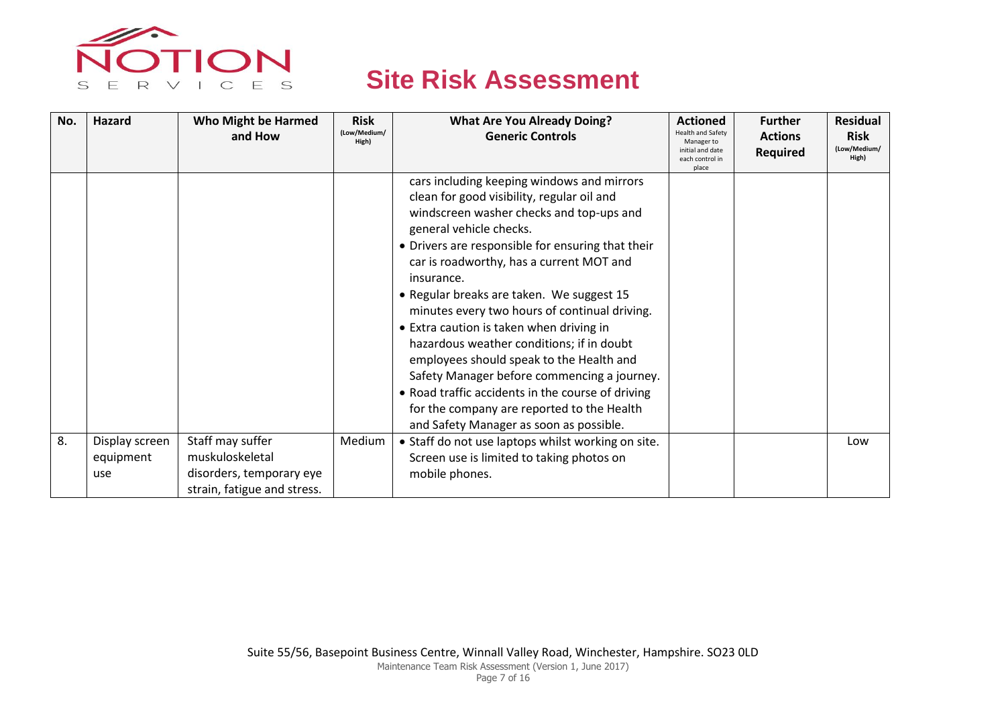

| No. | Hazard                             | <b>Who Might be Harmed</b>                                                                     | <b>Risk</b>           | <b>What Are You Already Doing?</b>                                                                                                                                                                                                                                                                                                                                                                                                                                                                                                                                                                                                                                                                             | <b>Actioned</b>                              | <b>Further</b>  | <b>Residual</b>       |
|-----|------------------------------------|------------------------------------------------------------------------------------------------|-----------------------|----------------------------------------------------------------------------------------------------------------------------------------------------------------------------------------------------------------------------------------------------------------------------------------------------------------------------------------------------------------------------------------------------------------------------------------------------------------------------------------------------------------------------------------------------------------------------------------------------------------------------------------------------------------------------------------------------------------|----------------------------------------------|-----------------|-----------------------|
|     |                                    | and How                                                                                        | (Low/Medium/<br>High) | <b>Generic Controls</b>                                                                                                                                                                                                                                                                                                                                                                                                                                                                                                                                                                                                                                                                                        | <b>Health and Safety</b><br>Manager to       | <b>Actions</b>  | <b>Risk</b>           |
|     |                                    |                                                                                                |                       |                                                                                                                                                                                                                                                                                                                                                                                                                                                                                                                                                                                                                                                                                                                | initial and date<br>each control in<br>place | <b>Required</b> | (Low/Medium/<br>High) |
|     |                                    |                                                                                                |                       | cars including keeping windows and mirrors<br>clean for good visibility, regular oil and<br>windscreen washer checks and top-ups and<br>general vehicle checks.<br>• Drivers are responsible for ensuring that their<br>car is roadworthy, has a current MOT and<br>insurance.<br>• Regular breaks are taken. We suggest 15<br>minutes every two hours of continual driving.<br>• Extra caution is taken when driving in<br>hazardous weather conditions; if in doubt<br>employees should speak to the Health and<br>Safety Manager before commencing a journey.<br>• Road traffic accidents in the course of driving<br>for the company are reported to the Health<br>and Safety Manager as soon as possible. |                                              |                 |                       |
| 8.  | Display screen<br>equipment<br>use | Staff may suffer<br>muskuloskeletal<br>disorders, temporary eye<br>strain, fatigue and stress. | Medium                | • Staff do not use laptops whilst working on site.<br>Screen use is limited to taking photos on<br>mobile phones.                                                                                                                                                                                                                                                                                                                                                                                                                                                                                                                                                                                              |                                              |                 | Low                   |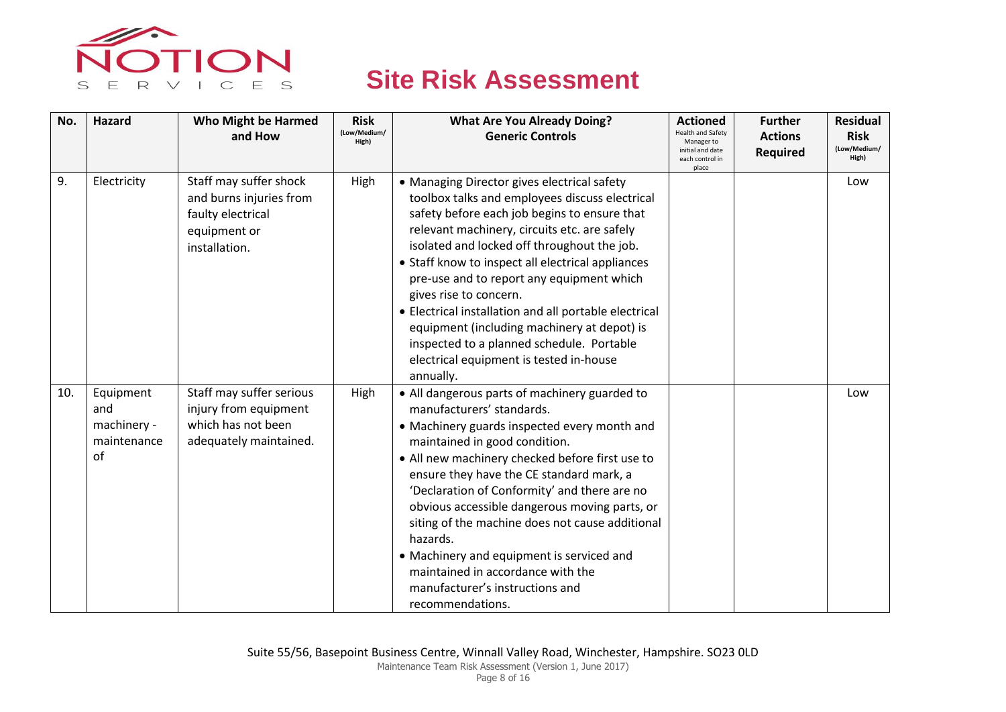

| No. | <b>Hazard</b>                                        | <b>Who Might be Harmed</b><br>and How                                                                   | <b>Risk</b><br>(Low/Medium/<br>High) | <b>What Are You Already Doing?</b><br><b>Generic Controls</b>                                                                                                                                                                                                                                                                                                                                                                                                                                                                                                                         | <b>Actioned</b><br><b>Health and Safety</b><br>Manager to<br>initial and date<br>each control in<br>place | <b>Further</b><br><b>Actions</b><br><b>Required</b> | <b>Residual</b><br><b>Risk</b><br>(Low/Medium/<br>High) |
|-----|------------------------------------------------------|---------------------------------------------------------------------------------------------------------|--------------------------------------|---------------------------------------------------------------------------------------------------------------------------------------------------------------------------------------------------------------------------------------------------------------------------------------------------------------------------------------------------------------------------------------------------------------------------------------------------------------------------------------------------------------------------------------------------------------------------------------|-----------------------------------------------------------------------------------------------------------|-----------------------------------------------------|---------------------------------------------------------|
| 9.  | Electricity                                          | Staff may suffer shock<br>and burns injuries from<br>faulty electrical<br>equipment or<br>installation. | High                                 | • Managing Director gives electrical safety<br>toolbox talks and employees discuss electrical<br>safety before each job begins to ensure that<br>relevant machinery, circuits etc. are safely<br>isolated and locked off throughout the job.<br>• Staff know to inspect all electrical appliances<br>pre-use and to report any equipment which<br>gives rise to concern.<br>• Electrical installation and all portable electrical<br>equipment (including machinery at depot) is<br>inspected to a planned schedule. Portable<br>electrical equipment is tested in-house<br>annually. |                                                                                                           |                                                     | Low                                                     |
| 10. | Equipment<br>and<br>machinery -<br>maintenance<br>of | Staff may suffer serious<br>injury from equipment<br>which has not been<br>adequately maintained.       | High                                 | • All dangerous parts of machinery guarded to<br>manufacturers' standards.<br>• Machinery guards inspected every month and<br>maintained in good condition.<br>• All new machinery checked before first use to<br>ensure they have the CE standard mark, a<br>'Declaration of Conformity' and there are no<br>obvious accessible dangerous moving parts, or<br>siting of the machine does not cause additional<br>hazards.<br>• Machinery and equipment is serviced and<br>maintained in accordance with the<br>manufacturer's instructions and<br>recommendations.                   |                                                                                                           |                                                     | Low                                                     |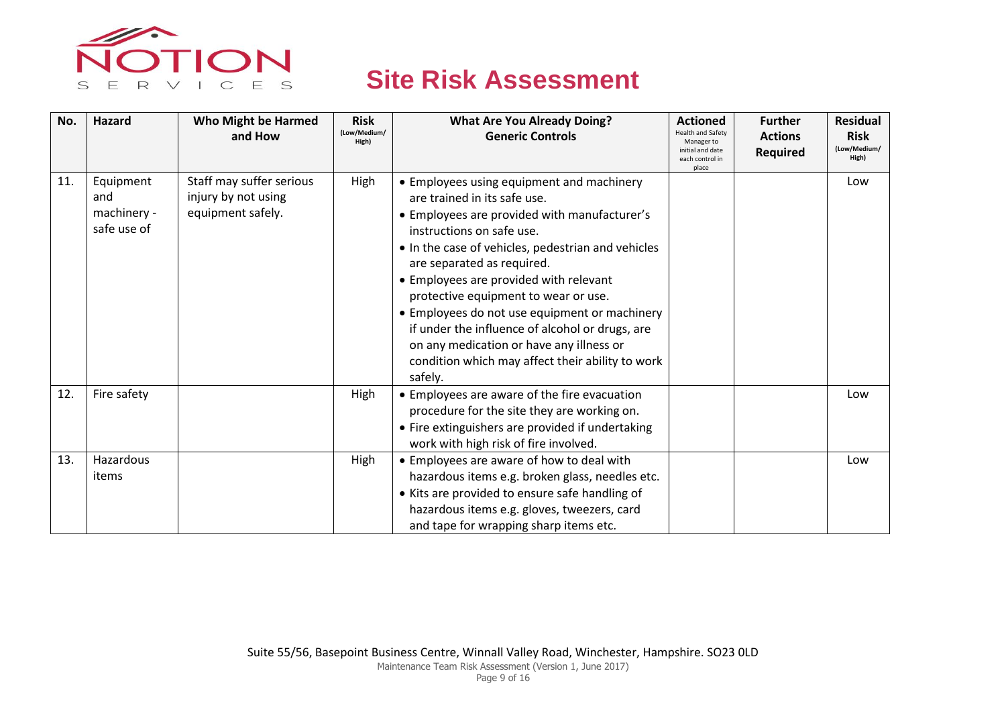

| No. | Hazard                                         | <b>Who Might be Harmed</b><br>and How                                | <b>Risk</b><br>(Low/Medium/<br>High) | <b>What Are You Already Doing?</b><br><b>Generic Controls</b>                                                                                                                                                                                                                                                                                                                                                                                                                                                                               | <b>Actioned</b><br><b>Health and Safety</b><br>Manager to<br>initial and date<br>each control in<br>place | <b>Further</b><br><b>Actions</b><br><b>Required</b> | <b>Residual</b><br><b>Risk</b><br>(Low/Medium/<br>High) |
|-----|------------------------------------------------|----------------------------------------------------------------------|--------------------------------------|---------------------------------------------------------------------------------------------------------------------------------------------------------------------------------------------------------------------------------------------------------------------------------------------------------------------------------------------------------------------------------------------------------------------------------------------------------------------------------------------------------------------------------------------|-----------------------------------------------------------------------------------------------------------|-----------------------------------------------------|---------------------------------------------------------|
| 11. | Equipment<br>and<br>machinery -<br>safe use of | Staff may suffer serious<br>injury by not using<br>equipment safely. | High                                 | • Employees using equipment and machinery<br>are trained in its safe use.<br>• Employees are provided with manufacturer's<br>instructions on safe use.<br>• In the case of vehicles, pedestrian and vehicles<br>are separated as required.<br>• Employees are provided with relevant<br>protective equipment to wear or use.<br>• Employees do not use equipment or machinery<br>if under the influence of alcohol or drugs, are<br>on any medication or have any illness or<br>condition which may affect their ability to work<br>safely. |                                                                                                           |                                                     | Low                                                     |
| 12. | Fire safety                                    |                                                                      | High                                 | • Employees are aware of the fire evacuation<br>procedure for the site they are working on.<br>• Fire extinguishers are provided if undertaking<br>work with high risk of fire involved.                                                                                                                                                                                                                                                                                                                                                    |                                                                                                           |                                                     | Low                                                     |
| 13. | Hazardous<br>items                             |                                                                      | High                                 | • Employees are aware of how to deal with<br>hazardous items e.g. broken glass, needles etc.<br>• Kits are provided to ensure safe handling of<br>hazardous items e.g. gloves, tweezers, card<br>and tape for wrapping sharp items etc.                                                                                                                                                                                                                                                                                                     |                                                                                                           |                                                     | Low                                                     |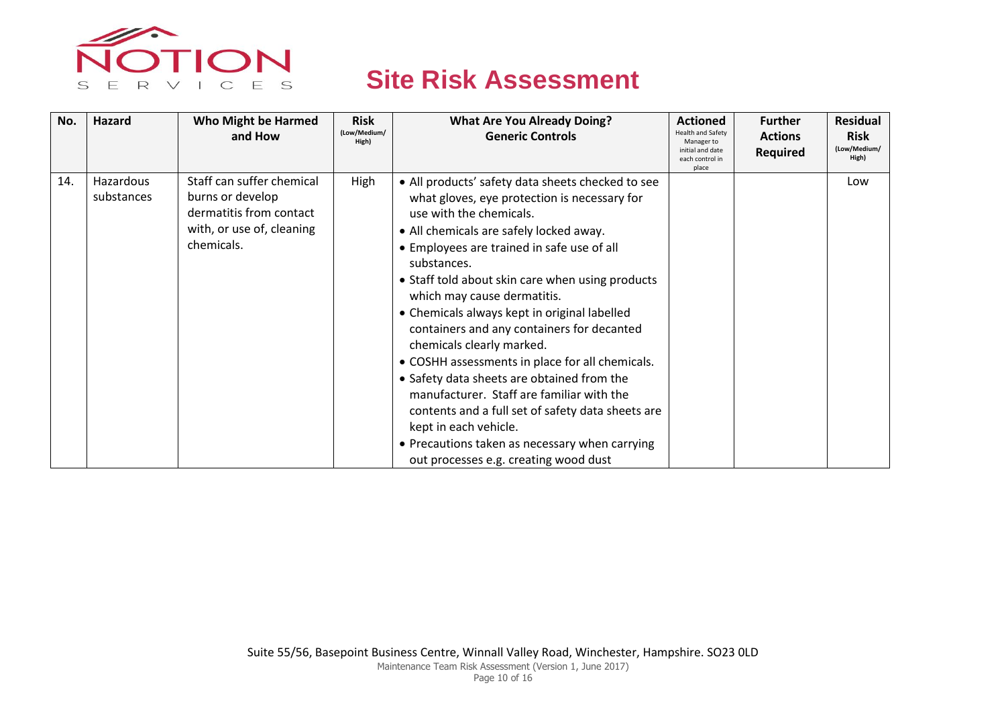

| No. | <b>Hazard</b>           | <b>Who Might be Harmed</b><br>and How                                                                               | <b>Risk</b><br>(Low/Medium/<br>High) | <b>What Are You Already Doing?</b><br><b>Generic Controls</b>                                                                                                                                                                                                                                                                                                                                                                                                                                                                                                                                                                                                                                                                                                             | <b>Actioned</b><br><b>Health and Safety</b><br>Manager to<br>initial and date<br>each control in<br>place | <b>Further</b><br><b>Actions</b><br><b>Required</b> | <b>Residual</b><br><b>Risk</b><br>(Low/Medium/<br>High) |
|-----|-------------------------|---------------------------------------------------------------------------------------------------------------------|--------------------------------------|---------------------------------------------------------------------------------------------------------------------------------------------------------------------------------------------------------------------------------------------------------------------------------------------------------------------------------------------------------------------------------------------------------------------------------------------------------------------------------------------------------------------------------------------------------------------------------------------------------------------------------------------------------------------------------------------------------------------------------------------------------------------------|-----------------------------------------------------------------------------------------------------------|-----------------------------------------------------|---------------------------------------------------------|
| 14. | Hazardous<br>substances | Staff can suffer chemical<br>burns or develop<br>dermatitis from contact<br>with, or use of, cleaning<br>chemicals. | High                                 | • All products' safety data sheets checked to see<br>what gloves, eye protection is necessary for<br>use with the chemicals.<br>• All chemicals are safely locked away.<br>• Employees are trained in safe use of all<br>substances.<br>• Staff told about skin care when using products<br>which may cause dermatitis.<br>• Chemicals always kept in original labelled<br>containers and any containers for decanted<br>chemicals clearly marked.<br>• COSHH assessments in place for all chemicals.<br>• Safety data sheets are obtained from the<br>manufacturer. Staff are familiar with the<br>contents and a full set of safety data sheets are<br>kept in each vehicle.<br>• Precautions taken as necessary when carrying<br>out processes e.g. creating wood dust |                                                                                                           |                                                     | Low                                                     |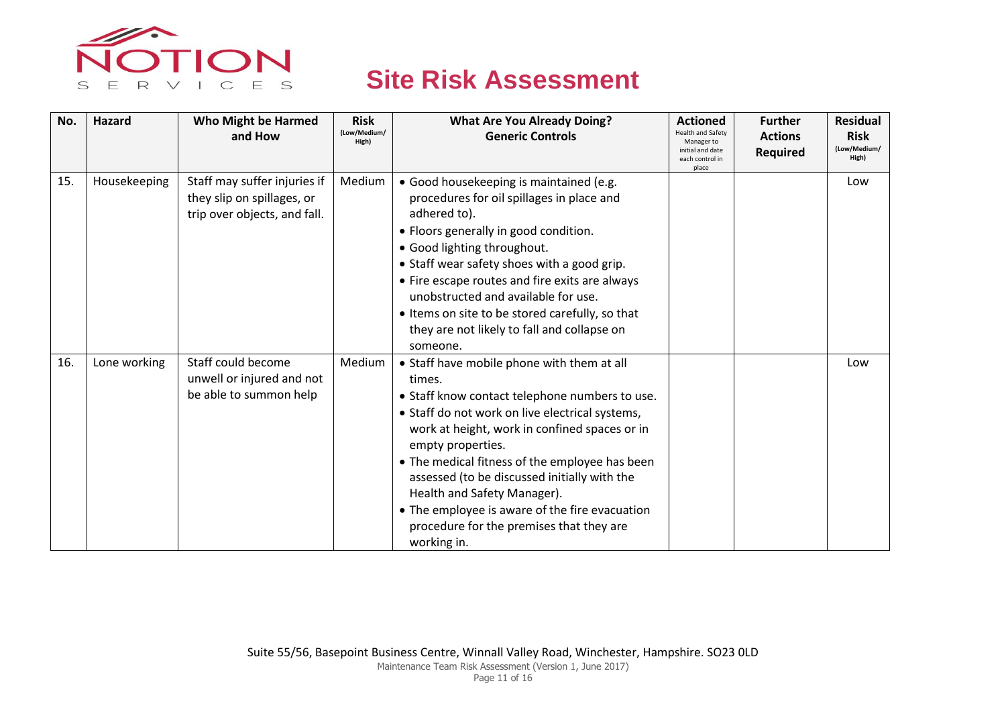

| No. | Hazard       | <b>Who Might be Harmed</b><br>and How                                                      | <b>Risk</b><br>(Low/Medium/<br>High) | <b>What Are You Already Doing?</b><br><b>Generic Controls</b>                                                                                                                                                                                                                                                                                                                                                                                                                 | <b>Actioned</b><br><b>Health and Safety</b><br>Manager to<br>initial and date<br>each control in<br>place | <b>Further</b><br><b>Actions</b><br><b>Required</b> | <b>Residual</b><br><b>Risk</b><br>(Low/Medium/<br>High) |
|-----|--------------|--------------------------------------------------------------------------------------------|--------------------------------------|-------------------------------------------------------------------------------------------------------------------------------------------------------------------------------------------------------------------------------------------------------------------------------------------------------------------------------------------------------------------------------------------------------------------------------------------------------------------------------|-----------------------------------------------------------------------------------------------------------|-----------------------------------------------------|---------------------------------------------------------|
| 15. | Housekeeping | Staff may suffer injuries if<br>they slip on spillages, or<br>trip over objects, and fall. | Medium                               | • Good housekeeping is maintained (e.g.<br>procedures for oil spillages in place and<br>adhered to).<br>• Floors generally in good condition.<br>• Good lighting throughout.<br>• Staff wear safety shoes with a good grip.<br>• Fire escape routes and fire exits are always<br>unobstructed and available for use.<br>• Items on site to be stored carefully, so that<br>they are not likely to fall and collapse on<br>someone.                                            |                                                                                                           |                                                     | Low                                                     |
| 16. | Lone working | Staff could become<br>unwell or injured and not<br>be able to summon help                  | Medium                               | • Staff have mobile phone with them at all<br>times.<br>• Staff know contact telephone numbers to use.<br>• Staff do not work on live electrical systems,<br>work at height, work in confined spaces or in<br>empty properties.<br>• The medical fitness of the employee has been<br>assessed (to be discussed initially with the<br>Health and Safety Manager).<br>• The employee is aware of the fire evacuation<br>procedure for the premises that they are<br>working in. |                                                                                                           |                                                     | Low                                                     |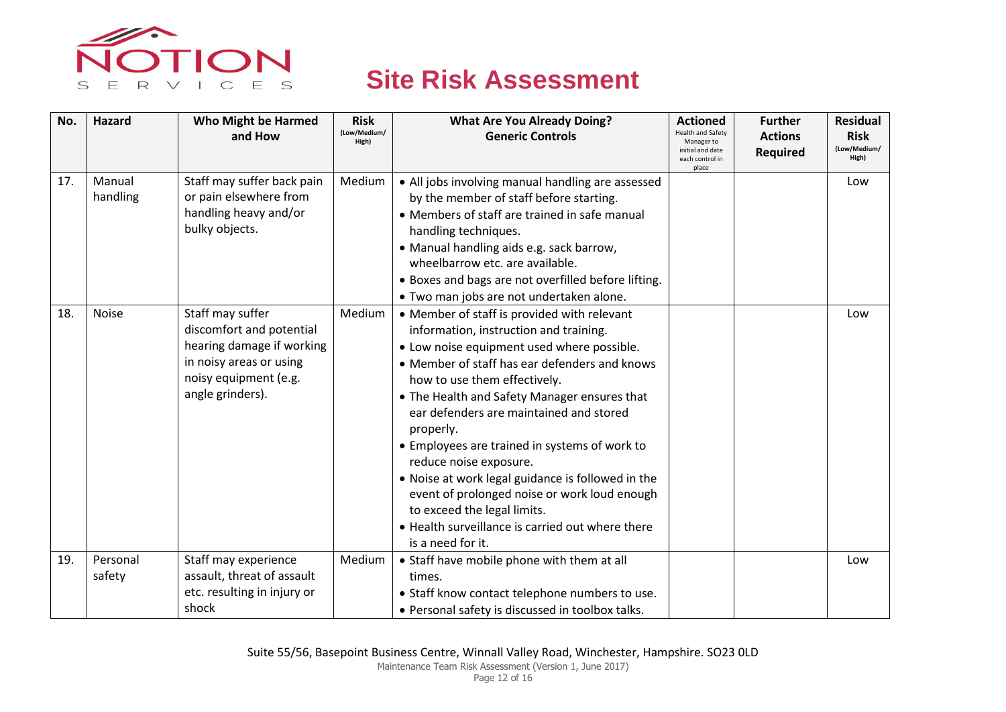

| No. | Hazard       | <b>Who Might be Harmed</b><br>and How | <b>Risk</b><br>(Low/Medium/<br>High) | <b>What Are You Already Doing?</b><br><b>Generic Controls</b> | <b>Actioned</b><br>lealth and Safety<br>Manager to<br>initial and date | <b>Further</b><br><b>Actions</b><br><b>Required</b> | <b>Residual</b><br><b>Risk</b><br>(Low/Medium/ |
|-----|--------------|---------------------------------------|--------------------------------------|---------------------------------------------------------------|------------------------------------------------------------------------|-----------------------------------------------------|------------------------------------------------|
|     |              |                                       |                                      |                                                               | each control in<br>place                                               |                                                     | High)                                          |
| 17. | Manual       | Staff may suffer back pain            | Medium                               | • All jobs involving manual handling are assessed             |                                                                        |                                                     | Low                                            |
|     | handling     | or pain elsewhere from                |                                      | by the member of staff before starting.                       |                                                                        |                                                     |                                                |
|     |              | handling heavy and/or                 |                                      | • Members of staff are trained in safe manual                 |                                                                        |                                                     |                                                |
|     |              | bulky objects.                        |                                      | handling techniques.                                          |                                                                        |                                                     |                                                |
|     |              |                                       |                                      | • Manual handling aids e.g. sack barrow,                      |                                                                        |                                                     |                                                |
|     |              |                                       |                                      | wheelbarrow etc. are available.                               |                                                                        |                                                     |                                                |
|     |              |                                       |                                      | . Boxes and bags are not overfilled before lifting.           |                                                                        |                                                     |                                                |
|     |              |                                       |                                      | · Two man jobs are not undertaken alone.                      |                                                                        |                                                     |                                                |
| 18. | <b>Noise</b> | Staff may suffer                      | Medium                               | • Member of staff is provided with relevant                   |                                                                        |                                                     | Low                                            |
|     |              | discomfort and potential              |                                      | information, instruction and training.                        |                                                                        |                                                     |                                                |
|     |              | hearing damage if working             |                                      | • Low noise equipment used where possible.                    |                                                                        |                                                     |                                                |
|     |              | in noisy areas or using               |                                      | • Member of staff has ear defenders and knows                 |                                                                        |                                                     |                                                |
|     |              | noisy equipment (e.g.                 |                                      | how to use them effectively.                                  |                                                                        |                                                     |                                                |
|     |              | angle grinders).                      |                                      | • The Health and Safety Manager ensures that                  |                                                                        |                                                     |                                                |
|     |              |                                       |                                      | ear defenders are maintained and stored                       |                                                                        |                                                     |                                                |
|     |              |                                       |                                      | properly.                                                     |                                                                        |                                                     |                                                |
|     |              |                                       |                                      | • Employees are trained in systems of work to                 |                                                                        |                                                     |                                                |
|     |              |                                       |                                      | reduce noise exposure.                                        |                                                                        |                                                     |                                                |
|     |              |                                       |                                      | . Noise at work legal guidance is followed in the             |                                                                        |                                                     |                                                |
|     |              |                                       |                                      | event of prolonged noise or work loud enough                  |                                                                        |                                                     |                                                |
|     |              |                                       |                                      | to exceed the legal limits.                                   |                                                                        |                                                     |                                                |
|     |              |                                       |                                      | • Health surveillance is carried out where there              |                                                                        |                                                     |                                                |
|     |              |                                       |                                      | is a need for it.                                             |                                                                        |                                                     |                                                |
| 19. | Personal     | Staff may experience                  | Medium                               | • Staff have mobile phone with them at all                    |                                                                        |                                                     | Low                                            |
|     | safety       | assault, threat of assault            |                                      | times.                                                        |                                                                        |                                                     |                                                |
|     |              | etc. resulting in injury or           |                                      | • Staff know contact telephone numbers to use.                |                                                                        |                                                     |                                                |
|     |              | shock                                 |                                      | • Personal safety is discussed in toolbox talks.              |                                                                        |                                                     |                                                |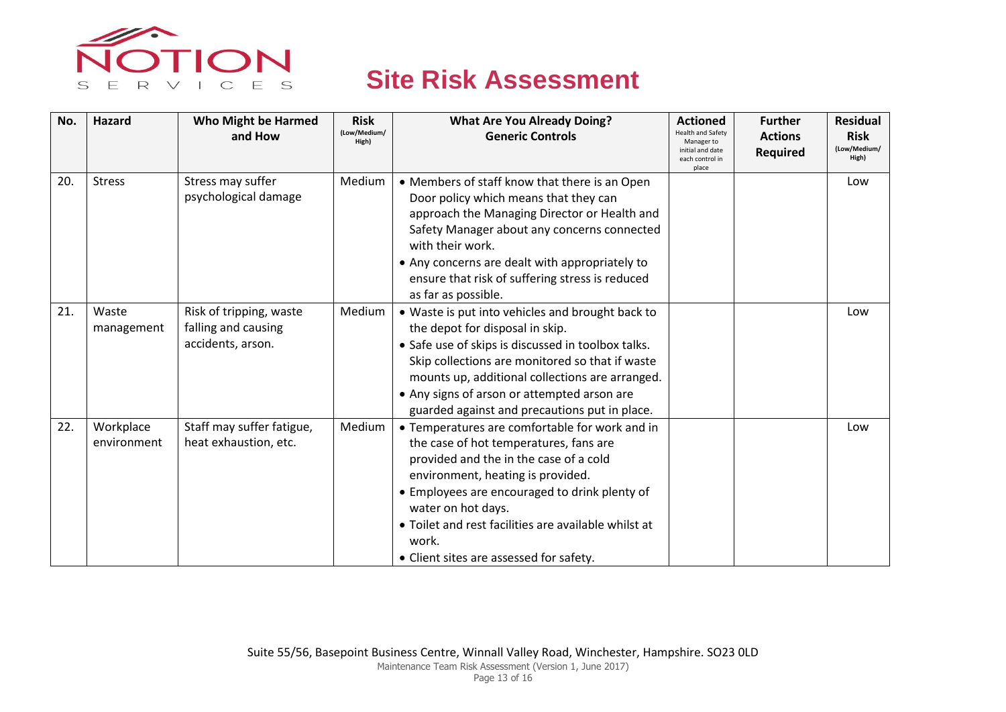

| No. | Hazard                   | <b>Who Might be Harmed</b><br>and How                               | <b>Risk</b><br>(Low/Medium/<br>High) | <b>What Are You Already Doing?</b><br><b>Generic Controls</b>                                                                                                                                                                                                                                                                                              | <b>Actioned</b><br><b>Health and Safety</b><br>Manager to<br>initial and date<br>each control in | <b>Further</b><br><b>Actions</b><br><b>Required</b> | <b>Residual</b><br><b>Risk</b><br>(Low/Medium/<br>High) |
|-----|--------------------------|---------------------------------------------------------------------|--------------------------------------|------------------------------------------------------------------------------------------------------------------------------------------------------------------------------------------------------------------------------------------------------------------------------------------------------------------------------------------------------------|--------------------------------------------------------------------------------------------------|-----------------------------------------------------|---------------------------------------------------------|
| 20. | <b>Stress</b>            | Stress may suffer<br>psychological damage                           | Medium                               | • Members of staff know that there is an Open<br>Door policy which means that they can<br>approach the Managing Director or Health and<br>Safety Manager about any concerns connected<br>with their work.<br>• Any concerns are dealt with appropriately to<br>ensure that risk of suffering stress is reduced<br>as far as possible.                      | place                                                                                            |                                                     | Low                                                     |
| 21. | Waste<br>management      | Risk of tripping, waste<br>falling and causing<br>accidents, arson. | Medium                               | • Waste is put into vehicles and brought back to<br>the depot for disposal in skip.<br>• Safe use of skips is discussed in toolbox talks.<br>Skip collections are monitored so that if waste<br>mounts up, additional collections are arranged.<br>• Any signs of arson or attempted arson are<br>guarded against and precautions put in place.            |                                                                                                  |                                                     | Low                                                     |
| 22. | Workplace<br>environment | Staff may suffer fatigue,<br>heat exhaustion, etc.                  | Medium                               | • Temperatures are comfortable for work and in<br>the case of hot temperatures, fans are<br>provided and the in the case of a cold<br>environment, heating is provided.<br>• Employees are encouraged to drink plenty of<br>water on hot days.<br>• Toilet and rest facilities are available whilst at<br>work.<br>• Client sites are assessed for safety. |                                                                                                  |                                                     | Low                                                     |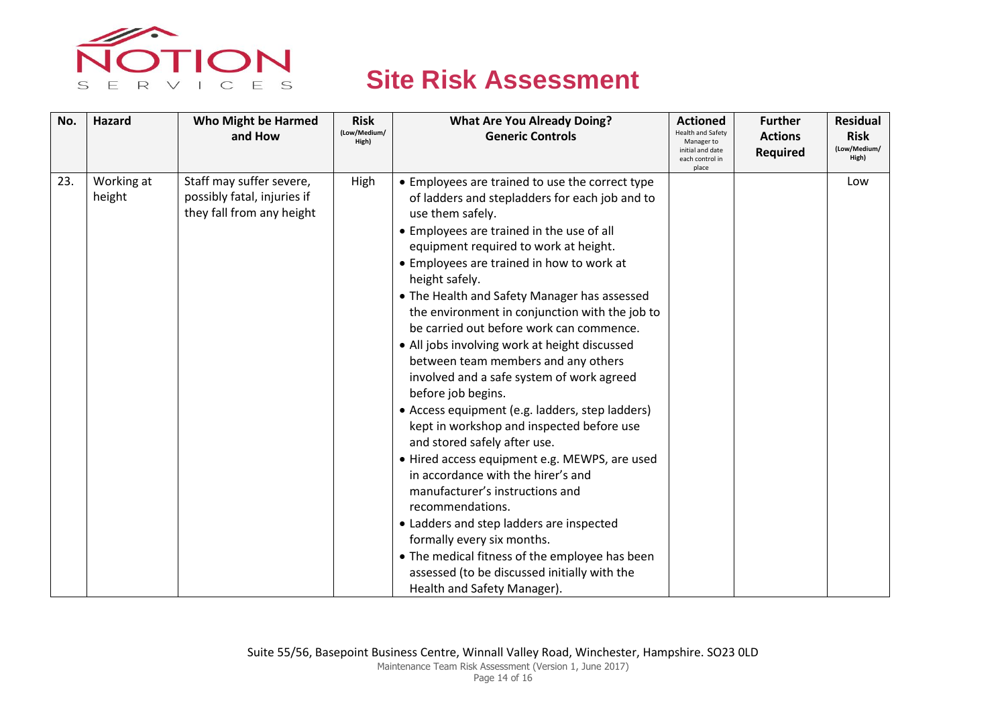

| No. | Hazard               | <b>Who Might be Harmed</b><br>and How                                                | <b>Risk</b><br>(Low/Medium/<br>High) | <b>What Are You Already Doing?</b><br><b>Generic Controls</b>                                                                                                                                                                                                                                                                                                                                                                                                                                                                                                                                                                                                                                                                                                                                                                                                                                                                                                                                                                                                                | <b>Actioned</b><br><b>Health and Safety</b><br>Manager to<br>initial and date<br>each control in<br>place | <b>Further</b><br><b>Actions</b><br><b>Required</b> | <b>Residual</b><br><b>Risk</b><br>(Low/Medium/<br>High) |
|-----|----------------------|--------------------------------------------------------------------------------------|--------------------------------------|------------------------------------------------------------------------------------------------------------------------------------------------------------------------------------------------------------------------------------------------------------------------------------------------------------------------------------------------------------------------------------------------------------------------------------------------------------------------------------------------------------------------------------------------------------------------------------------------------------------------------------------------------------------------------------------------------------------------------------------------------------------------------------------------------------------------------------------------------------------------------------------------------------------------------------------------------------------------------------------------------------------------------------------------------------------------------|-----------------------------------------------------------------------------------------------------------|-----------------------------------------------------|---------------------------------------------------------|
| 23. | Working at<br>height | Staff may suffer severe,<br>possibly fatal, injuries if<br>they fall from any height | High                                 | • Employees are trained to use the correct type<br>of ladders and stepladders for each job and to<br>use them safely.<br>• Employees are trained in the use of all<br>equipment required to work at height.<br>• Employees are trained in how to work at<br>height safely.<br>• The Health and Safety Manager has assessed<br>the environment in conjunction with the job to<br>be carried out before work can commence.<br>• All jobs involving work at height discussed<br>between team members and any others<br>involved and a safe system of work agreed<br>before job begins.<br>• Access equipment (e.g. ladders, step ladders)<br>kept in workshop and inspected before use<br>and stored safely after use.<br>· Hired access equipment e.g. MEWPS, are used<br>in accordance with the hirer's and<br>manufacturer's instructions and<br>recommendations.<br>• Ladders and step ladders are inspected<br>formally every six months.<br>• The medical fitness of the employee has been<br>assessed (to be discussed initially with the<br>Health and Safety Manager). |                                                                                                           |                                                     | Low                                                     |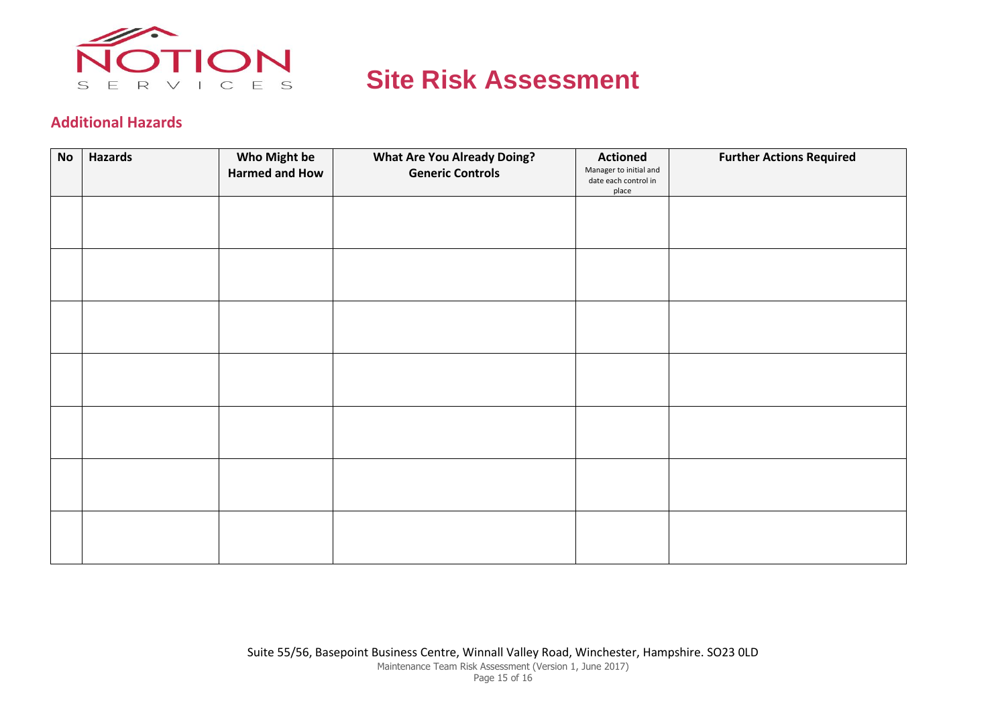

#### **Additional Hazards**

| <b>No</b> | <b>Hazards</b> | Who Might be          | <b>What Are You Already Doing?</b> | <b>Actioned</b>                                         | <b>Further Actions Required</b> |
|-----------|----------------|-----------------------|------------------------------------|---------------------------------------------------------|---------------------------------|
|           |                | <b>Harmed and How</b> | <b>Generic Controls</b>            | Manager to initial and<br>date each control in<br>place |                                 |
|           |                |                       |                                    |                                                         |                                 |
|           |                |                       |                                    |                                                         |                                 |
|           |                |                       |                                    |                                                         |                                 |
|           |                |                       |                                    |                                                         |                                 |
|           |                |                       |                                    |                                                         |                                 |
|           |                |                       |                                    |                                                         |                                 |
|           |                |                       |                                    |                                                         |                                 |
|           |                |                       |                                    |                                                         |                                 |
|           |                |                       |                                    |                                                         |                                 |
|           |                |                       |                                    |                                                         |                                 |
|           |                |                       |                                    |                                                         |                                 |
|           |                |                       |                                    |                                                         |                                 |
|           |                |                       |                                    |                                                         |                                 |
|           |                |                       |                                    |                                                         |                                 |